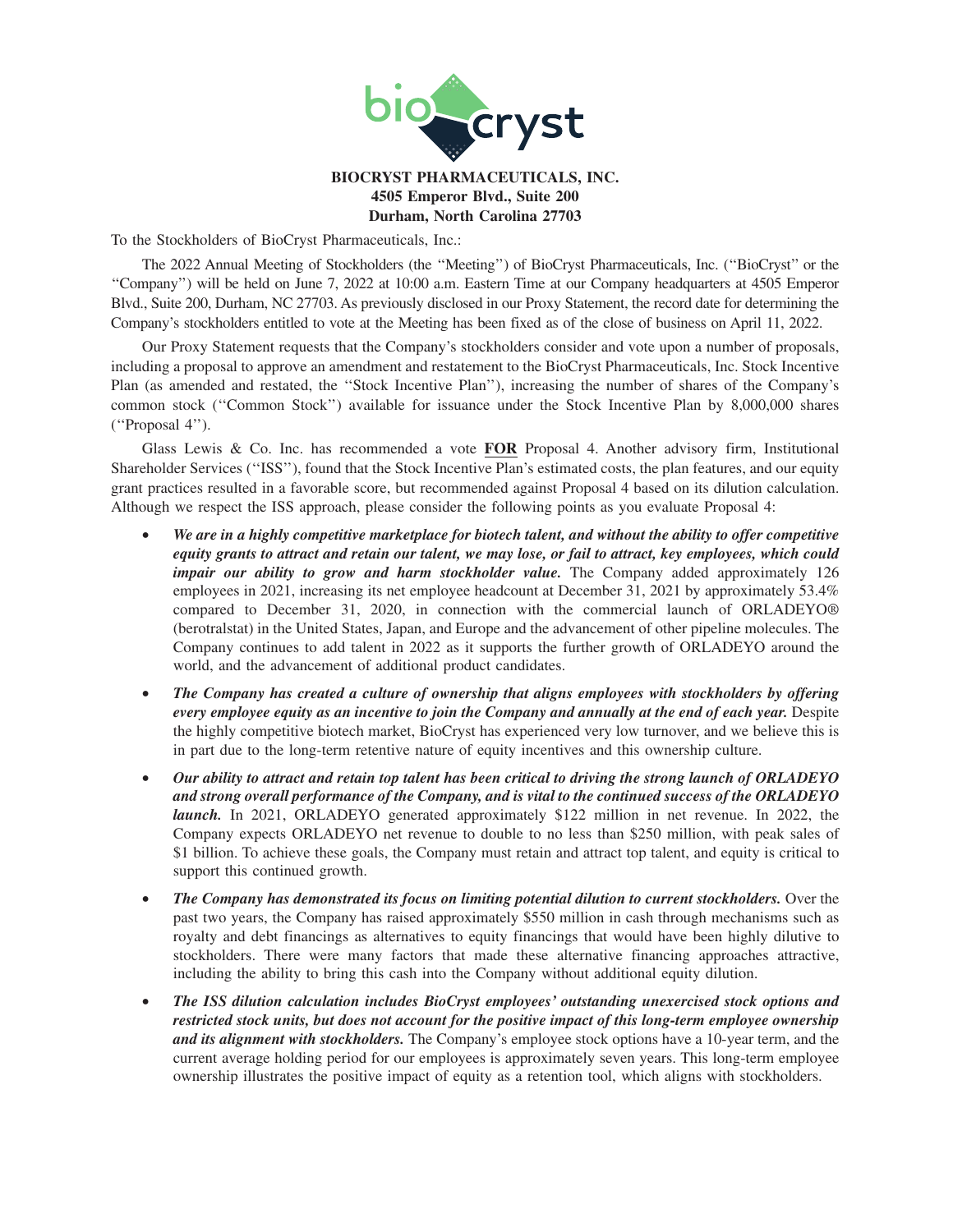

# **BIOCRYST PHARMACEUTICALS, INC. 4505 Emperor Blvd., Suite 200 Durham, North Carolina 27703**

To the Stockholders of BioCryst Pharmaceuticals, Inc.:

The 2022 Annual Meeting of Stockholders (the ''Meeting'') of BioCryst Pharmaceuticals, Inc. (''BioCryst'' or the ''Company'') will be held on June 7, 2022 at 10:00 a.m. Eastern Time at our Company headquarters at 4505 Emperor Blvd., Suite 200, Durham, NC 27703. As previously disclosed in our Proxy Statement, the record date for determining the Company's stockholders entitled to vote at the Meeting has been fixed as of the close of business on April 11, 2022.

Our Proxy Statement requests that the Company's stockholders consider and vote upon a number of proposals, including a proposal to approve an amendment and restatement to the BioCryst Pharmaceuticals, Inc. Stock Incentive Plan (as amended and restated, the ''Stock Incentive Plan''), increasing the number of shares of the Company's common stock (''Common Stock'') available for issuance under the Stock Incentive Plan by 8,000,000 shares (''Proposal 4'').

Glass Lewis & Co. Inc. has recommended a vote **FOR** Proposal 4. Another advisory firm, Institutional Shareholder Services (''ISS''), found that the Stock Incentive Plan's estimated costs, the plan features, and our equity grant practices resulted in a favorable score, but recommended against Proposal 4 based on its dilution calculation. Although we respect the ISS approach, please consider the following points as you evaluate Proposal 4:

- *We are in a highly competitive marketplace for biotech talent, and without the ability to offer competitive equity grants to attract and retain our talent, we may lose, or fail to attract, key employees, which could impair our ability to grow and harm stockholder value.* The Company added approximately 126 employees in 2021, increasing its net employee headcount at December 31, 2021 by approximately 53.4% compared to December 31, 2020, in connection with the commercial launch of ORLADEYO® (berotralstat) in the United States, Japan, and Europe and the advancement of other pipeline molecules. The Company continues to add talent in 2022 as it supports the further growth of ORLADEYO around the world, and the advancement of additional product candidates.
- *The Company has created a culture of ownership that aligns employees with stockholders by offering every employee equity as an incentive to join the Company and annually at the end of each year.* Despite the highly competitive biotech market, BioCryst has experienced very low turnover, and we believe this is in part due to the long-term retentive nature of equity incentives and this ownership culture.
- *Our ability to attract and retain top talent has been critical to driving the strong launch of ORLADEYO and strong overall performance of the Company, and is vital to the continued success of the ORLADEYO launch.* In 2021, ORLADEYO generated approximately \$122 million in net revenue. In 2022, the Company expects ORLADEYO net revenue to double to no less than \$250 million, with peak sales of \$1 billion. To achieve these goals, the Company must retain and attract top talent, and equity is critical to support this continued growth.
- *The Company has demonstrated its focus on limiting potential dilution to current stockholders.* Over the past two years, the Company has raised approximately \$550 million in cash through mechanisms such as royalty and debt financings as alternatives to equity financings that would have been highly dilutive to stockholders. There were many factors that made these alternative financing approaches attractive, including the ability to bring this cash into the Company without additional equity dilution.
- *The ISS dilution calculation includes BioCryst employees' outstanding unexercised stock options and restricted stock units, but does not account for the positive impact of this long-term employee ownership and its alignment with stockholders.* The Company's employee stock options have a 10-year term, and the current average holding period for our employees is approximately seven years. This long-term employee ownership illustrates the positive impact of equity as a retention tool, which aligns with stockholders.